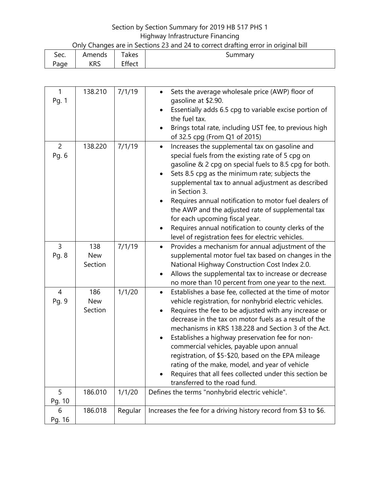## Section by Section Summary for 2019 HB 517 PHS 1 Highway Infrastructure Financing

| Only Changes are in Sections 23 and 24 to correct drafting error in original bill |  |
|-----------------------------------------------------------------------------------|--|
|-----------------------------------------------------------------------------------|--|

| ∽    | Amends     | $\sim$ | <b>Immary</b> |
|------|------------|--------|---------------|
| Sec. |            | akes   | ּישכ          |
| 'age | <b>KRS</b> | Effect |               |

| $\mathbf{1}$<br>Pg. 1   | 138.210                      | 7/1/19  | Sets the average wholesale price (AWP) floor of<br>$\bullet$<br>gasoline at \$2.90.<br>Essentially adds 6.5 cpg to variable excise portion of<br>the fuel tax.<br>Brings total rate, including UST fee, to previous high<br>$\bullet$<br>of 32.5 cpg (From Q1 of 2015)                                                                                                                                                                                                                                                                                                                                                |
|-------------------------|------------------------------|---------|-----------------------------------------------------------------------------------------------------------------------------------------------------------------------------------------------------------------------------------------------------------------------------------------------------------------------------------------------------------------------------------------------------------------------------------------------------------------------------------------------------------------------------------------------------------------------------------------------------------------------|
| $\overline{2}$<br>Pg. 6 | 138.220                      | 7/1/19  | Increases the supplemental tax on gasoline and<br>$\bullet$<br>special fuels from the existing rate of 5 cpg on<br>gasoline & 2 cpg on special fuels to 8.5 cpg for both.<br>Sets 8.5 cpg as the minimum rate; subjects the<br>supplemental tax to annual adjustment as described<br>in Section 3.<br>Requires annual notification to motor fuel dealers of<br>the AWP and the adjusted rate of supplemental tax<br>for each upcoming fiscal year.<br>Requires annual notification to county clerks of the<br>level of registration fees for electric vehicles.                                                       |
| 3<br>Pg. 8              | 138<br><b>New</b><br>Section | 7/1/19  | Provides a mechanism for annual adjustment of the<br>$\bullet$<br>supplemental motor fuel tax based on changes in the<br>National Highway Construction Cost Index 2.0.<br>Allows the supplemental tax to increase or decrease<br>٠<br>no more than 10 percent from one year to the next.                                                                                                                                                                                                                                                                                                                              |
| $\overline{4}$<br>Pg. 9 | 186<br><b>New</b><br>Section | 1/1/20  | Establishes a base fee, collected at the time of motor<br>$\bullet$<br>vehicle registration, for nonhybrid electric vehicles.<br>Requires the fee to be adjusted with any increase or<br>$\bullet$<br>decrease in the tax on motor fuels as a result of the<br>mechanisms in KRS 138.228 and Section 3 of the Act.<br>Establishes a highway preservation fee for non-<br>commercial vehicles, payable upon annual<br>registration, of \$5-\$20, based on the EPA mileage<br>rating of the make, model, and year of vehicle<br>Requires that all fees collected under this section be<br>transferred to the road fund. |
| 5<br>Pg. 10             | 186.010                      | 1/1/20  | Defines the terms "nonhybrid electric vehicle".                                                                                                                                                                                                                                                                                                                                                                                                                                                                                                                                                                       |
| 6<br>Pg. 16             | 186.018                      | Regular | Increases the fee for a driving history record from \$3 to \$6.                                                                                                                                                                                                                                                                                                                                                                                                                                                                                                                                                       |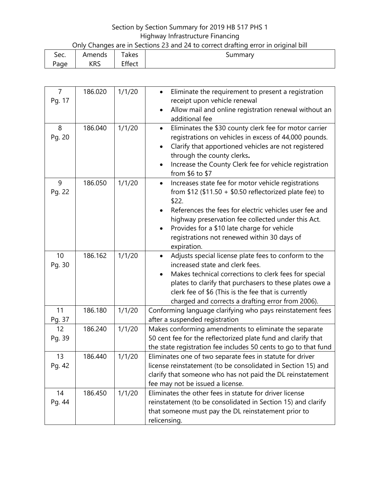## Section by Section Summary for 2019 HB 517 PHS 1 Highway Infrastructure Financing

| Only Changes are in Sections 23 and 24 to correct drafting error in original bill |  |
|-----------------------------------------------------------------------------------|--|
|                                                                                   |  |

| Sec. | Amends     | -<br>akes      | ummarvد |
|------|------------|----------------|---------|
| 'age | <b>KRS</b> | - cc<br>Effect |         |

| $\overline{7}$ | 186.020 | 1/1/20 | Eliminate the requirement to present a registration<br>$\bullet$                                                          |
|----------------|---------|--------|---------------------------------------------------------------------------------------------------------------------------|
| Pg. 17         |         |        | receipt upon vehicle renewal                                                                                              |
|                |         |        | Allow mail and online registration renewal without an<br>$\bullet$                                                        |
|                |         |        | additional fee                                                                                                            |
| 8              | 186.040 | 1/1/20 | Eliminates the \$30 county clerk fee for motor carrier<br>$\bullet$                                                       |
| Pg. 20         |         |        | registrations on vehicles in excess of 44,000 pounds.                                                                     |
|                |         |        | Clarify that apportioned vehicles are not registered<br>٠                                                                 |
|                |         |        | through the county clerks.                                                                                                |
|                |         |        | Increase the County Clerk fee for vehicle registration<br>$\bullet$                                                       |
|                |         |        | from $$6$ to $$7$                                                                                                         |
| 9              | 186.050 | 1/1/20 | Increases state fee for motor vehicle registrations<br>$\bullet$                                                          |
| Pg. 22         |         |        | from $$12$ (\$11.50 + \$0.50 reflectorized plate fee) to                                                                  |
|                |         |        | \$22.                                                                                                                     |
|                |         |        | References the fees for electric vehicles user fee and                                                                    |
|                |         |        | highway preservation fee collected under this Act.                                                                        |
|                |         |        | Provides for a \$10 late charge for vehicle<br>٠                                                                          |
|                |         |        | registrations not renewed within 30 days of                                                                               |
|                |         |        | expiration.                                                                                                               |
| 10             | 186.162 | 1/1/20 | Adjusts special license plate fees to conform to the<br>$\bullet$                                                         |
| Pg. 30         |         |        | increased state and clerk fees.                                                                                           |
|                |         |        | Makes technical corrections to clerk fees for special<br>$\bullet$                                                        |
|                |         |        | plates to clarify that purchasers to these plates owe a                                                                   |
|                |         |        | clerk fee of \$6 (This is the fee that is currently                                                                       |
|                |         |        | charged and corrects a drafting error from 2006).                                                                         |
| 11             | 186.180 | 1/1/20 | Conforming language clarifying who pays reinstatement fees                                                                |
| Pg. 37         | 186.240 |        | after a suspended registration                                                                                            |
| 12             |         | 1/1/20 | Makes conforming amendments to eliminate the separate                                                                     |
| Pg. 39         |         |        | 50 cent fee for the reflectorized plate fund and clarify that                                                             |
| 13             | 186.440 | 1/1/20 | the state registration fee includes 50 cents to go to that fund                                                           |
|                |         |        | Eliminates one of two separate fees in statute for driver<br>license reinstatement (to be consolidated in Section 15) and |
| Pg. 42         |         |        |                                                                                                                           |
|                |         |        | clarify that someone who has not paid the DL reinstatement<br>fee may not be issued a license.                            |
| 14             | 186.450 | 1/1/20 | Eliminates the other fees in statute for driver license                                                                   |
| Pg. 44         |         |        | reinstatement (to be consolidated in Section 15) and clarify                                                              |
|                |         |        | that someone must pay the DL reinstatement prior to                                                                       |
|                |         |        | relicensing.                                                                                                              |
|                |         |        |                                                                                                                           |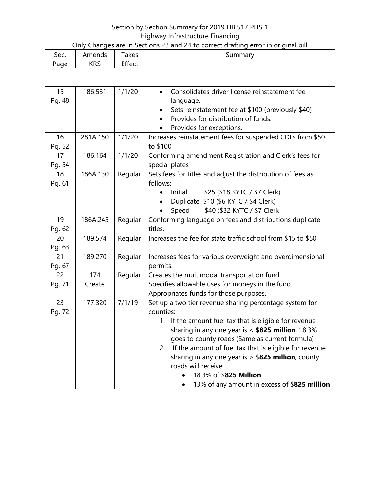## Section by Section Summary for 2019 HB 517 PHS 1 Highway Infrastructure Financing

| Only Changes are in Sections 23 and 24 to correct drafting error in original bill |  |
|-----------------------------------------------------------------------------------|--|
|                                                                                   |  |

| -<br>Sec. | Amends     | $\sim$<br>akes | summary |
|-----------|------------|----------------|---------|
| age       | <b>KRS</b> | Effect         |         |

| 15     | 186.531  | 1/1/20  | Consolidates driver license reinstatement fee<br>$\bullet$   |
|--------|----------|---------|--------------------------------------------------------------|
| Pg. 48 |          |         | language.                                                    |
|        |          |         | Sets reinstatement fee at \$100 (previously \$40)            |
|        |          |         | Provides for distribution of funds.                          |
|        |          |         | Provides for exceptions.                                     |
| 16     | 281A.150 | 1/1/20  | Increases reinstatement fees for suspended CDLs from \$50    |
| Pg. 52 |          |         | to \$100                                                     |
| 17     | 186.164  | 1/1/20  | Conforming amendment Registration and Clerk's fees for       |
| Pg. 54 |          |         | special plates                                               |
| 18     | 186A.130 | Regular | Sets fees for titles and adjust the distribution of fees as  |
| Pg. 61 |          |         | follows:                                                     |
|        |          |         | Initial<br>\$25 (\$18 KYTC / \$7 Clerk)<br>$\bullet$         |
|        |          |         | Duplicate \$10 (\$6 KYTC / \$4 Clerk)<br>$\bullet$           |
|        |          |         | \$40 (\$32 KYTC / \$7 Clerk<br>Speed                         |
| 19     | 186A.245 | Regular | Conforming language on fees and distributions duplicate      |
| Pg. 62 |          |         | titles.                                                      |
| 20     | 189.574  | Regular | Increases the fee for state traffic school from \$15 to \$50 |
| Pg. 63 |          |         |                                                              |
| 21     | 189.270  | Regular | Increases fees for various overweight and overdimensional    |
| Pg. 67 |          |         | permits.                                                     |
| 22     | 174      | Regular | Creates the multimodal transportation fund.                  |
| Pg. 71 | Create   |         | Specifies allowable uses for moneys in the fund.             |
|        |          |         | Appropriates funds for those purposes.                       |
| 23     | 177.320  | 7/1/19  | Set up a two tier revenue sharing percentage system for      |
| Pg. 72 |          |         | counties:                                                    |
|        |          |         | 1. If the amount fuel tax that is eligible for revenue       |
|        |          |         | sharing in any one year is $<$ \$825 million, 18.3%          |
|        |          |         | goes to county roads (Same as current formula)               |
|        |          |         | If the amount of fuel tax that is eligible for revenue<br>2. |
|        |          |         | sharing in any one year is $> $825$ million, county          |
|        |          |         | roads will receive:                                          |
|        |          |         | 18.3% of \$825 Million                                       |
|        |          |         | 13% of any amount in excess of \$825 million                 |